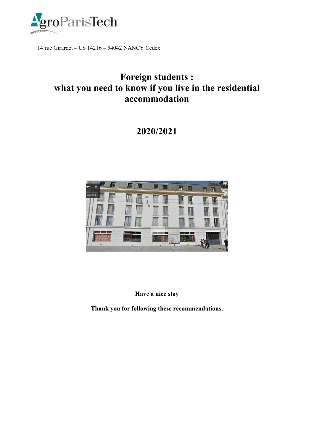

14 rue Girardet – CS 14216 – 54042 NANCY Cedex

# Foreign students : what you need to know if you live in the residential accommodation

# 2020/2021



Have a nice stay

Thank you for following these recommendations.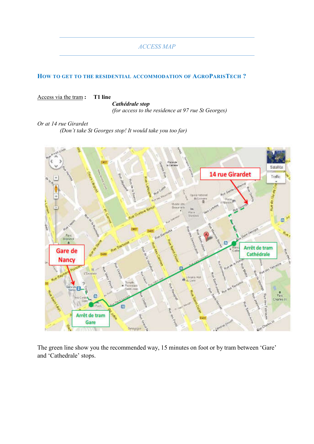#### *ACCESS MAP*

#### HOW TO GET TO THE RESIDENTIAL ACCOMMODATION OF AGROPARISTECH?

#### Access via the tram : T1 line

*Cathédrale stop* 

*(for access to the residence at 97 rue St Georges)*

*Or at 14 rue Girardet (Don't take St Georges stop! It would take you too far)*



The green line show you the recommended way, 15 minutes on foot or by tram between 'Gare' and 'Cathedrale' stops.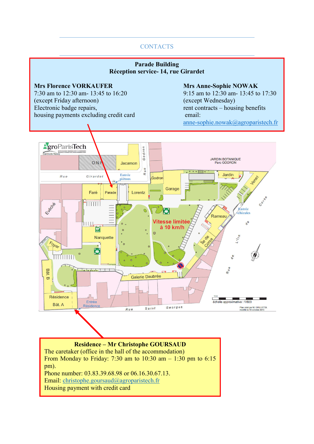## **CONTACTS**

#### Parade Building Réception service- 14, rue Girardet

#### Mrs Florence VORKAUFER Mrs Anne-Sophie NOWAK

7:30 am to 12:30 am- 13:45 to 16:20 9:15 am to 12:30 am- 13:45 to 17:30 (except Friday afternoon) (except Wednesday)<br>Electronic badge repairs, the contracts – house of the contracts – house of the contracts – house of the contracts – house of the contracts – house of the contracts – house of t housing payments excluding credit card email:

 $rent$  contracts – housing benefits anne-sophie.nowak@agroparistech.fr



Housing payment with credit card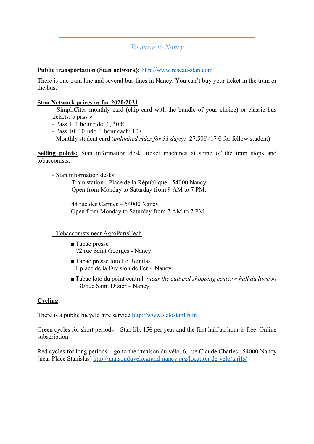# *To move to Nancy*

#### Public transportation (Stan network): http://www.reseau-stan.com

There is one tram line and several bus lines in Nancy. You can't buy your ticket in the tram or the bus.

#### Stan Network prices as for 2020/2021

- SimpliCités monthly card (chip card with the bundle of your choice) or classic bus tickets: « pass »

- Pass 1: 1 hour ride: 1, 30 €
- Pass 10: 10 ride, 1 hour each:  $10 \in$
- Monthly student card (*unlimited rides for 31 days):* 27,50€ (17 € for fellow student)

Selling points: Stan information desk, ticket machines at some of the tram stops and tobacconists.

- Stan information desks:

Train station - Place de la République - 54000 Nancy Open from Monday to Saturday from 9 AM to 7 PM.

44 rue des Carmes – 54000 Nancy Open from Monday to Saturday from 7 AM to 7 PM.

### - Tobacconists near AgroParisTech

- Tabac presse 72 rue Saint Georges - Nancy
- Tabac presse loto Le Reinitas 1 place de la Division de Fer - Nancy
- Tabac loto du point central *(near the cultural shopping center « hall du livre »)* 30 rue Saint Dizier – Nancy

### Cycling:

There is a public bicycle hire service http://www.velostanlib.fr/

Green cycles for short periods – Stan lib,  $15\epsilon$  per year and the first half an hour is free. Online subscription

Red cycles for long periods – go to the "maison du vélo, 6, rue Claude Charles | 54000 Nancy (near Place Stanislas) http://maisonduvelo.grand-nancy.org/location-de-velo/tarifs/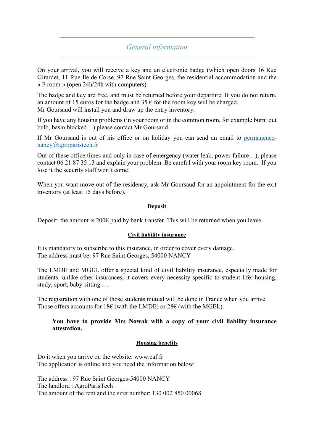# *General information*

On your arrival, you will receive a key and an electronic badge (which open doors 16 Rue Girardet, 11 Rue Ile de Corse, 97 Rue Saint Georges, the residential accommodation and the « F room » (open 24h/24h with computers).

The badge and key are free, and must be returned before your departure. If you do not return, an amount of 15 euros for the badge and  $35 \text{ } \in$  for the room key will be charged. Mr Goursaud will install you and draw up the entry inventory.

If you have any housing problems (in your room or in the common room, for example burnt out bulb, basin blocked…) please contact Mr Goursaud.

If Mr Goursaud is out of his office or on holiday you can send an email to permanencenancy@agroparistech.fr

Out of these office times and only in case of emergency (water leak, power failure…), please contact 06 21 87 35 13 and explain your problem. Be careful with your room key room. If you lose it the security staff won't come!

When you want move out of the residency, ask Mr Goursaud for an appointment for the exit inventory (at least 15 days before).

#### Deposit

Deposit: the amount is 200€ paid by bank transfer. This will be returned when you leave.

#### Civil liability insurance

It is mandatory to subscribe to this insurance, in order to cover every damage. The address must be: 97 Rue Saint Georges, 54000 NANCY

The LMDE and MGEL offer a special kind of civil liability insurance, especially made for students: unlike other insurances, it covers every necessity specific to student life: housing, study, sport, baby-sitting …

The registration with one of those students mutual will be done in France when you arrive. Those offers accounts for 18€ (with the LMDE) or 28€ (with the MGEL).

#### You have to provide Mrs Nowak with a copy of your civil liability insurance attestation.

#### Housing benefits

Do it when you arrive on the website: www.caf.fr The application is online and you need the information below:

The address : 97 Rue Saint Georges-54000 NANCY The landlord : AgroParisTech The amount of the rent and the siret number: 130 002 850 00068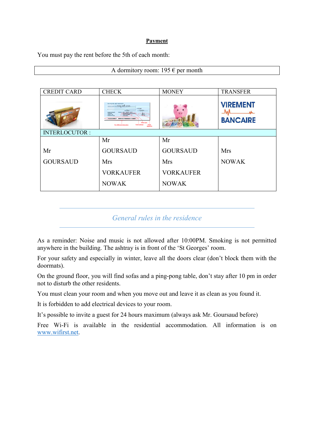#### Payment

You must pay the rent before the 5th of each month:

#### A dormitory room: 195  $\epsilon$  per month

| <b>CREDIT CARD</b>   | <b>CHECK</b>                                                                                                                                                                                                                                                                                                                                        | <b>MONEY</b>     | <b>TRANSFER</b>                    |
|----------------------|-----------------------------------------------------------------------------------------------------------------------------------------------------------------------------------------------------------------------------------------------------------------------------------------------------------------------------------------------------|------------------|------------------------------------|
|                      | <b>BANOUE ART-MONEY</b><br>someon towardown listing can't as now<br>escoc<br>2689.05<br>ren a Maria<br><b>SOUTHERN PERSONAL ARRAIGNMENT</b><br><b>BOARD REPEARE</b><br><b>MONSIBUR PELTIER JEAN FAL</b><br>200001048<br>105111-000<br>LOANS 872<br><b>GAME CANCAM</b><br>2016 0070201511 -115201<br>ソロロロコミン<br>Votre nom<br>Vos références bancaire |                  | <b>VIREMENT</b><br><b>BANCAIRE</b> |
| <b>INTERLOCUTOR:</b> |                                                                                                                                                                                                                                                                                                                                                     |                  |                                    |
|                      | Mr                                                                                                                                                                                                                                                                                                                                                  | Mr               |                                    |
| Mr                   | <b>GOURSAUD</b>                                                                                                                                                                                                                                                                                                                                     | <b>GOURSAUD</b>  | Mrs                                |
| <b>GOURSAUD</b>      | <b>Mrs</b>                                                                                                                                                                                                                                                                                                                                          | <b>Mrs</b>       | <b>NOWAK</b>                       |
|                      | <b>VORKAUFER</b>                                                                                                                                                                                                                                                                                                                                    | <b>VORKAUFER</b> |                                    |
|                      | <b>NOWAK</b>                                                                                                                                                                                                                                                                                                                                        | <b>NOWAK</b>     |                                    |

# *General rules in the residence*

As a reminder: Noise and music is not allowed after 10:00PM. Smoking is not permitted anywhere in the building. The ashtray is in front of the 'St Georges' room.

For your safety and especially in winter, leave all the doors clear (don't block them with the doormats).

On the ground floor, you will find sofas and a ping-pong table, don't stay after 10 pm in order not to disturb the other residents.

You must clean your room and when you move out and leave it as clean as you found it.

It is forbidden to add electrical devices to your room.

It's possible to invite a guest for 24 hours maximum (always ask Mr. Goursaud before)

Free Wi-Fi is available in the residential accommodation. All information is on www.wifirst.net.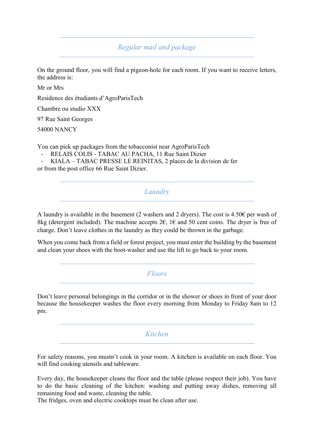*Regular mail and package*

On the ground floor, you will find a pigeon-hole for each room. If you want to receive letters, the address is:

Mr or Mrs

Residence des étudiants d'AgroParisTech

Chambre ou studio XXX

97 Rue Saint Georges

54000 NANCY

You can pick up packages from the tobacconist near AgroParisTech

RELAIS COLIS - TABAC AU PACHA, 11 Rue Saint Dizier

- KIALA – TABAC PRESSE LE REINITAS, 2 places de la division de fer or from the post office 66 Rue Saint Dizier.

*Laundry*

A laundry is available in the basement (2 washers and 2 dryers). The cost is  $4.50\epsilon$  per wash of 8kg (detergent included). The machine accepts  $2\epsilon$ ,  $1\epsilon$  and 50 cent coins. The dryer is free of charge. Don't leave clothes in the laundry as they could be thrown in the garbage.

When you come back from a field or forest project, you must enter the building by the basement and clean your shoes with the boot-washer and use the lift to go back to your room.

*Floors*

Don't leave personal belongings in the corridor or in the shower or shoes in front of your door because the housekeeper washes the floor every morning from Monday to Friday 8am to 12 pm.

*Kitchen*

For safety reasons, you mustn't cook in your room. A kitchen is available on each floor. You will find cooking utensils and tableware.

Every day, the housekeeper cleans the floor and the table (please respect their job). You have to do the basic cleaning of the kitchen: washing and putting away dishes, removing all remaining food and waste, cleaning the table.

The fridges, oven and electric cooktops must be clean after use.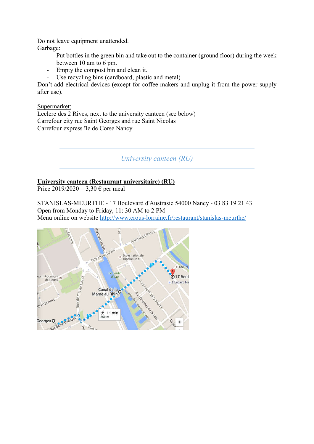Do not leave equipment unattended. Garbage:

- Put bottles in the green bin and take out to the container (ground floor) during the week between 10 am to 6 pm.
- Empty the compost bin and clean it.
- Use recycling bins (cardboard, plastic and metal)

Don't add electrical devices (except for coffee makers and unplug it from the power supply after use).

Supermarket:

Leclerc des 2 Rives, next to the university canteen (see below) Carrefour city rue Saint Georges and rue Saint Nicolas Carrefour express île de Corse Nancy

*University canteen (RU)*

### University canteen (Restaurant universitaire) (RU)

Price 2019/2020 = 3,30  $\epsilon$  per meal

STANISLAS-MEURTHE - 17 Boulevard d'Austrasie 54000 Nancy - 03 83 19 21 43 Open from Monday to Friday, 11: 30 AM to 2 PM Menu online on website http://www.crous-lorraine.fr/restaurant/stanislas-meurthe/

![](_page_7_Picture_11.jpeg)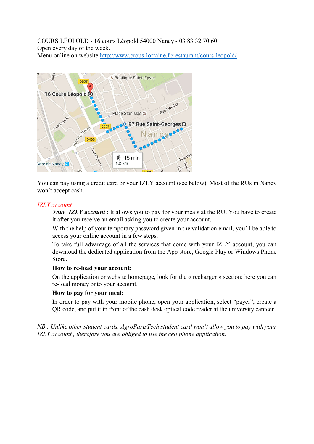COURS LÉOPOLD - 16 cours Léopold 54000 Nancy - 03 83 32 70 60 Open every day of the week. Menu online on website http://www.crous-lorraine.fr/restaurant/cours-leopold/

![](_page_8_Picture_1.jpeg)

You can pay using a credit card or your IZLY account (see below). Most of the RUs in Nancy won't accept cash.

#### *IZLY account*

*Your IZLY account* : It allows you to pay for your meals at the RU. You have to create it after you receive an email asking you to create your account.

With the help of your temporary password given in the validation email, you'll be able to access your online account in a few steps.

To take full advantage of all the services that come with your IZLY account, you can download the dedicated application from the App store, Google Play or Windows Phone Store.

#### How to re-load your account:

On the application or website homepage, look for the « recharger » section: here you can re-load money onto your account.

#### How to pay for your meal:

In order to pay with your mobile phone, open your application, select "payer", create a QR code, and put it in front of the cash desk optical code reader at the university canteen.

*NB : Unlike other student cards, AgroParisTech student card won't allow you to pay with your IZLY account , therefore you are obliged to use the cell phone application.*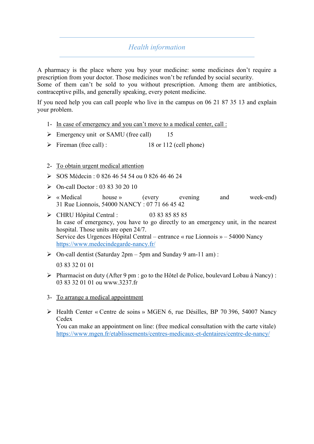# *Health information*

A pharmacy is the place where you buy your medicine: some medicines don't require a prescription from your doctor. Those medicines won't be refunded by social security.

Some of them can't be sold to you without prescription. Among them are antibiotics, contraceptive pills, and generally speaking, every potent medicine.

If you need help you can call people who live in the campus on 06 21 87 35 13 and explain your problem.

- 1- In case of emergency and you can't move to a medical center, call :
- $\triangleright$  Emergency unit or SAMU (free call) 15
- $\triangleright$  Fireman (free call) : 18 or 112 (cell phone)

### 2- To obtain urgent medical attention

- $\geq$  SOS Médecin : 0 826 46 54 54 ou 0 826 46 46 24
- $\triangleright$  On-call Doctor : 03 83 30 20 10
- « Medical house » (every evening and week-end) 31 Rue Lionnois, 54000 NANCY : 07 71 66 45 42
- CHRU Hôpital Central : 03 83 85 85 85 In case of emergency, you have to go directly to an emergency unit, in the nearest hospital. Those units are open 24/7. Service des Urgences Hôpital Central – entrance « rue Lionnois » – 54000 Nancy https://www.medecindegarde-nancy.fr/
- $\triangleright$  On-call dentist (Saturday 2pm 5pm and Sunday 9 am-11 am): 03 83 32 01 01
- Pharmacist on duty (After 9 pm : go to the Hôtel de Police, boulevard Lobau à Nancy) : 03 83 32 01 01 ou www.3237.fr
- 3- To arrange a medical appointment
- Health Center « Centre de soins » MGEN 6, rue Désilles, BP 70 396, 54007 Nancy Cedex

You can make an appointment on line: (free medical consultation with the carte vitale) https://www.mgen.fr/etablissements/centres-medicaux-et-dentaires/centre-de-nancy/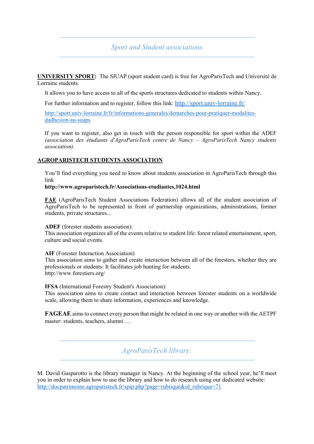*Sport and Student associations*

UNIVERSITY SPORT: The SIUAP (sport student card) is free for AgroParisTech and Université de Lorraine students.

It allows you to have access to all of the sports structures dedicated to students within Nancy.

For further information and to register, follow this link: http://sport.univ-lorraine.fr/

http://sport.univ-lorraine.fr/fr/informations-generales/demarches-pour-pratiquer-modalitesdadhesion-au-suaps

If you want to register, also get in touch with the person responsible for sport within the ADEF *(association des étudiants d'AgroParisTech centre de Nancy – AgroParisTech Nancy students association).*

#### AGROPARISTECH STUDENTS ASSOCIATION

You'll find everything you need to know about students association in AgroParisTech through this link

#### http://www.agroparistech.fr/Associations-etudiantes,1024.html

FAE (AgroParisTech Student Associations Federation) allows all of the student association of AgroParisTech to be represented in front of partnership organizations, administrations, former students, private structures...

#### ADEF (forester students association):

This association organizes all of the events relative to student life: forest related entertainment, sport, culture and social events.

#### AIF (Forester Interaction Association)

This association aims to gather and create interaction between all of the foresters, whether they are professionals or students: It facilitates job hunting for students. http://www.forestiers.org/

IFSA (International Forestry Student's Association):

This association aims to create contact and interaction between forester students on a worldwide scale, allowing them to share information, experiences and knowledge.

FAGEAE aims to connect every person that might be related in one way or another with the AETPF master: students, teachers, alumni …

*AgroParisTech library:*

M. David Gasparotto is the library manager in Nancy. At the beginning of the school year, he'll meet you in order to explain how to use the library and how to do research using our dedicated website: http://docpatrimoine.agroparistech.fr/spip.php?page=rubrique&id\_rubrique=71